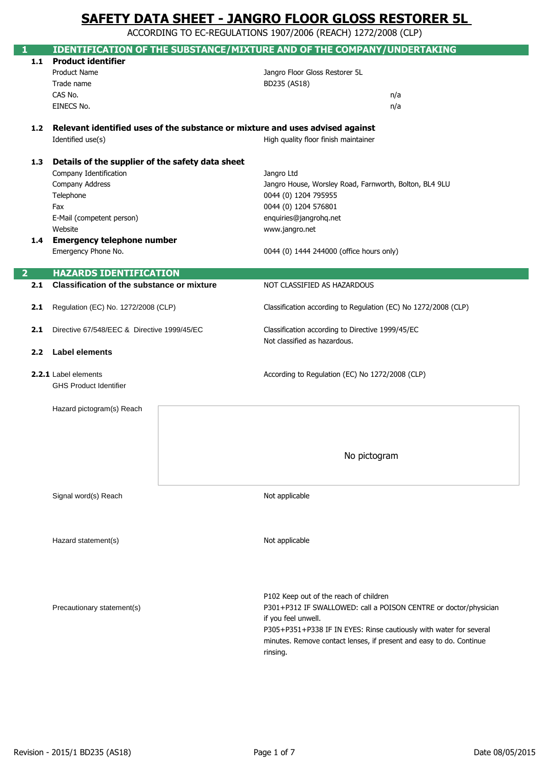ACCORDING TO EC-REGULATIONS 1907/2006 (REACH) 1272/2008 (CLP)

| 1.1              | <b>Product identifier</b>                         | IDENTIFICATION OF THE SUBSTANCE/MIXTURE AND OF THE COMPANY/UNDERTAKING            |
|------------------|---------------------------------------------------|-----------------------------------------------------------------------------------|
|                  | <b>Product Name</b>                               | Jangro Floor Gloss Restorer 5L                                                    |
|                  | Trade name                                        | BD235 (AS18)                                                                      |
|                  | CAS No.                                           | n/a                                                                               |
|                  | EINECS No.                                        | n/a                                                                               |
|                  |                                                   |                                                                                   |
|                  |                                                   | 1.2 Relevant identified uses of the substance or mixture and uses advised against |
|                  | Identified use(s)                                 | High quality floor finish maintainer                                              |
|                  |                                                   |                                                                                   |
| 1.3              | Details of the supplier of the safety data sheet  |                                                                                   |
|                  | Company Identification                            | Jangro Ltd                                                                        |
|                  | Company Address                                   | Jangro House, Worsley Road, Farnworth, Bolton, BL4 9LU                            |
|                  | Telephone                                         | 0044 (0) 1204 795955                                                              |
|                  | Fax                                               | 0044 (0) 1204 576801                                                              |
|                  | E-Mail (competent person)                         | enquiries@jangrohq.net                                                            |
|                  | Website                                           | www.jangro.net                                                                    |
| 1.4              | <b>Emergency telephone number</b>                 |                                                                                   |
|                  | Emergency Phone No.                               | 0044 (0) 1444 244000 (office hours only)                                          |
|                  |                                                   |                                                                                   |
| 2                | <b>HAZARDS IDENTIFICATION</b>                     |                                                                                   |
| 2.1              | <b>Classification of the substance or mixture</b> | NOT CLASSIFIED AS HAZARDOUS                                                       |
|                  |                                                   |                                                                                   |
| 2.1              | Regulation (EC) No. 1272/2008 (CLP)               | Classification according to Regulation (EC) No 1272/2008 (CLP)                    |
|                  |                                                   |                                                                                   |
| 2.1              | Directive 67/548/EEC & Directive 1999/45/EC       | Classification according to Directive 1999/45/EC                                  |
|                  |                                                   | Not classified as hazardous.                                                      |
| 2.2 <sub>2</sub> | <b>Label elements</b>                             |                                                                                   |
|                  |                                                   |                                                                                   |
|                  | 2.2.1 Label elements                              | According to Regulation (EC) No 1272/2008 (CLP)                                   |
|                  | <b>GHS Product Identifier</b>                     |                                                                                   |
|                  |                                                   |                                                                                   |
|                  | Hazard pictogram(s) Reach                         |                                                                                   |
|                  |                                                   |                                                                                   |
|                  |                                                   |                                                                                   |
|                  |                                                   |                                                                                   |
|                  |                                                   | No pictogram                                                                      |
|                  |                                                   |                                                                                   |
|                  |                                                   |                                                                                   |
|                  | Signal word(s) Reach                              | Not applicable                                                                    |
|                  |                                                   |                                                                                   |
|                  |                                                   |                                                                                   |
|                  |                                                   |                                                                                   |
|                  | Hazard statement(s)                               | Not applicable                                                                    |
|                  |                                                   |                                                                                   |
|                  |                                                   |                                                                                   |
|                  |                                                   |                                                                                   |
|                  |                                                   |                                                                                   |
|                  |                                                   | P102 Keep out of the reach of children                                            |
|                  | Precautionary statement(s)                        | P301+P312 IF SWALLOWED: call a POISON CENTRE or doctor/physician                  |
|                  |                                                   | if you feel unwell.                                                               |
|                  |                                                   | P305+P351+P338 IF IN EYES: Rinse cautiously with water for several                |
|                  |                                                   | minutes. Remove contact lenses, if present and easy to do. Continue               |
|                  |                                                   | rinsing.                                                                          |
|                  |                                                   |                                                                                   |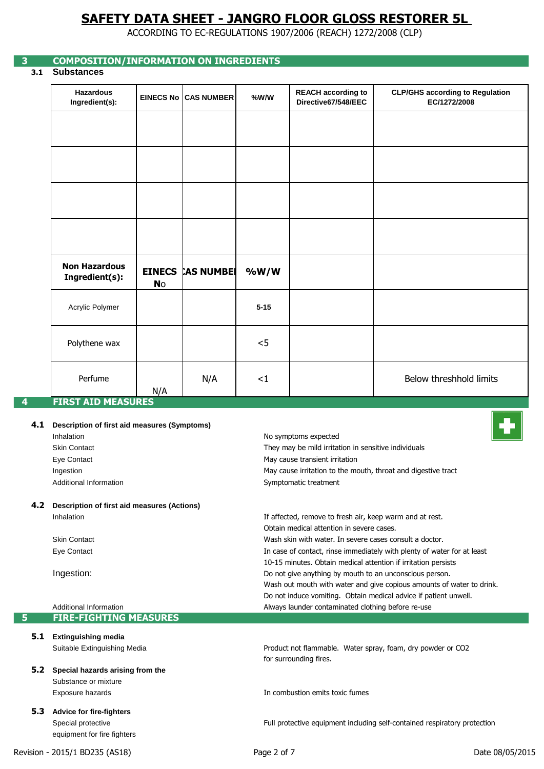ACCORDING TO EC-REGULATIONS 1907/2006 (REACH) 1272/2008 (CLP)

### **3 COMPOSITION/INFORMATION ON INGREDIENTS**

**3.1 Substances**

| <b>Hazardous</b><br>Ingredient(s): |           | <b>EINECS No CAS NUMBER</b> | $%$ W/W  | <b>REACH according to</b><br>Directive67/548/EEC | <b>CLP/GHS according to Regulation</b><br>EC/1272/2008 |
|------------------------------------|-----------|-----------------------------|----------|--------------------------------------------------|--------------------------------------------------------|
|                                    |           |                             |          |                                                  |                                                        |
|                                    |           |                             |          |                                                  |                                                        |
|                                    |           |                             |          |                                                  |                                                        |
|                                    |           |                             |          |                                                  |                                                        |
|                                    |           |                             |          |                                                  |                                                        |
| <b>Non Hazardous</b>               |           | <b>EINECS CAS NUMBER</b>    | %W/W     |                                                  |                                                        |
| Ingredient(s):                     | <b>No</b> |                             |          |                                                  |                                                        |
| Acrylic Polymer                    |           |                             | $5 - 15$ |                                                  |                                                        |
| Polythene wax                      |           |                             | $<$ 5    |                                                  |                                                        |

### **4.1 Description of first aid measures (Symptoms)**

Inhalation Skin Contact Eye Contact Ingestion Additional Information

### **4.2 Description of first aid measures (Actions)** Inhalation

Skin Contact Eye Contact

Ingestion:

Additional Information **5 FIRE-FIGHTING MEASURES**

## **5.1 Extinguishing media**

- Suitable Extinguishing Media
- **5.2 Special hazards arising from the**  Substance or mixture Exposure hazards
- **5.3 Advice for fire-fighters** Special protective equipment for fire fighters

In combustion emits toxic fumes

Obtain medical attention in severe cases.

Symptomatic treatment

No symptoms expected

May cause transient irritation

Wash skin with water. In severe cases consult a doctor.

Always launder contaminated clothing before re-use

10-15 minutes. Obtain medical attention if irritation persists

Do not give anything by mouth to an unconscious person.

Do not induce vomiting. Obtain medical advice if patient unwell.

Product not flammable. Water spray, foam, dry powder or CO2

In case of contact, rinse immediately with plenty of water for at least

Wash out mouth with water and give copious amounts of water to drink.

If affected, remove to fresh air, keep warm and at rest.

May cause irritation to the mouth, throat and digestive tract

They may be mild irritation in sensitive individuals

Full protective equipment including self-contained respiratory protection

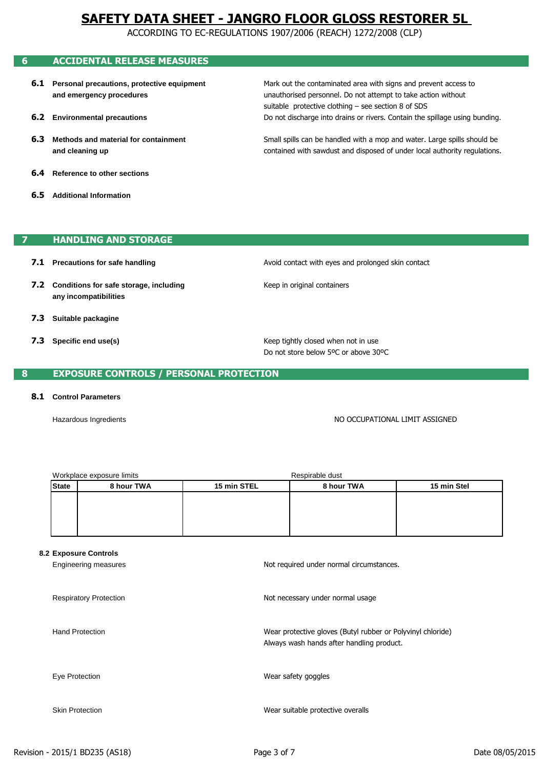ACCORDING TO EC-REGULATIONS 1907/2006 (REACH) 1272/2008 (CLP)

### **6 ACCIDENTAL RELEASE MEASURES**

- **6.1 Personal precautions, protective equipment and emergency procedures**
- **6.2 Environmental precautions**
- **6.3 Methods and material for containment and cleaning up**
- **6.4 Reference to other sections**
- **6.5 Additional Information**

### **7 HANDLING AND STORAGE**

- **7.1 Precautions for safe handling**
- **7.2 Conditions for safe storage, including any incompatibilities**
- **7.3 Suitable packagine**
- **7.3 Specific end use(s)**

Avoid contact with eyes and prolonged skin contact

unauthorised personnel. Do not attempt to take action without Mark out the contaminated area with signs and prevent access to

Do not discharge into drains or rivers. Contain the spillage using bunding.

contained with sawdust and disposed of under local authority regulations. Small spills can be handled with a mop and water. Large spills should be

suitable protective clothing – see section 8 of SDS

Keep in original containers

Do not store below 5ºC or above 30ºC Keep tightly closed when not in use

### **8 EXPOSURE CONTROLS / PERSONAL PROTECTION**

#### **8.1 Control Parameters**

Hazardous Ingredients

NO OCCUPATIONAL LIMIT ASSIGNED

| Workplace exposure limits |            | Respirable dust |            |             |  |
|---------------------------|------------|-----------------|------------|-------------|--|
| <b>State</b>              | 8 hour TWA | 15 min STEL     | 8 hour TWA | 15 min Stel |  |
|                           |            |                 |            |             |  |
|                           |            |                 |            |             |  |
|                           |            |                 |            |             |  |
|                           |            |                 |            |             |  |

#### **8.2 Exposure Controls**

Engineering measures Respiratory Protection Hand Protection Eye Protection Skin Protection Wear protective gloves (Butyl rubber or Polyvinyl chloride) Not required under normal circumstances. Wear suitable protective overalls Wear safety goggles Not necessary under normal usage Always wash hands after handling product.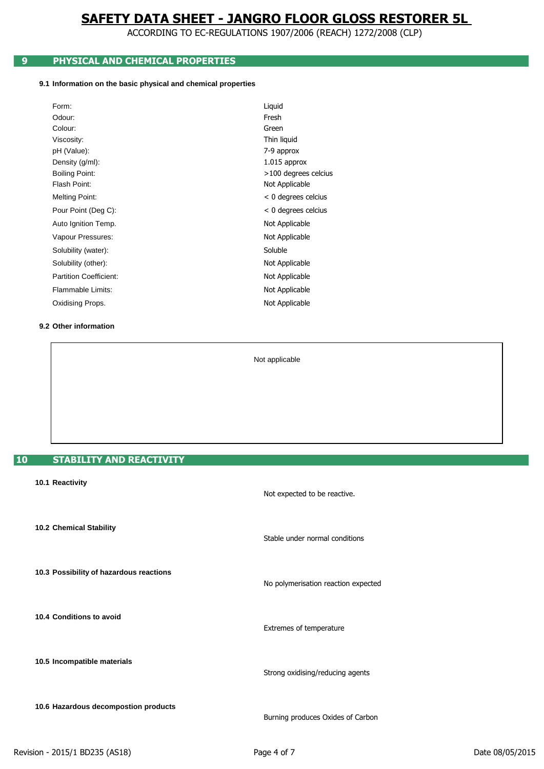ACCORDING TO EC-REGULATIONS 1907/2006 (REACH) 1272/2008 (CLP)

## **9 PHYSICAL AND CHEMICAL PROPERTIES**

### **9.1 Information on the basic physical and chemical properties**

| Form:                         | Liquid                |
|-------------------------------|-----------------------|
| Odour:                        | Fresh                 |
| Colour:                       | Green                 |
| Viscosity:                    | Thin liquid           |
| pH (Value):                   | 7-9 approx            |
| Density (g/ml):               | $1.015$ approx        |
| <b>Boiling Point:</b>         | >100 degrees celcius  |
| Flash Point:                  | Not Applicable        |
| Melting Point:                | $< 0$ degrees celcius |
| Pour Point (Deg C):           | $< 0$ degrees celcius |
| Auto Ignition Temp.           | Not Applicable        |
| Vapour Pressures:             | Not Applicable        |
| Solubility (water):           | Soluble               |
| Solubility (other):           | Not Applicable        |
| <b>Partition Coefficient:</b> | Not Applicable        |
| Flammable Limits:             | Not Applicable        |
| Oxidising Props.              | Not Applicable        |

### **9.2 Other information**

Not applicable

### **10 STABILITY AND REACTIVITY**

| 10.1 Reactivity                         | Not expected to be reactive.        |
|-----------------------------------------|-------------------------------------|
| 10.2 Chemical Stability                 | Stable under normal conditions      |
| 10.3 Possibility of hazardous reactions | No polymerisation reaction expected |
| 10.4 Conditions to avoid                | Extremes of temperature             |
| 10.5 Incompatible materials             | Strong oxidising/reducing agents    |
| 10.6 Hazardous decompostion products    | Burning produces Oxides of Carbon   |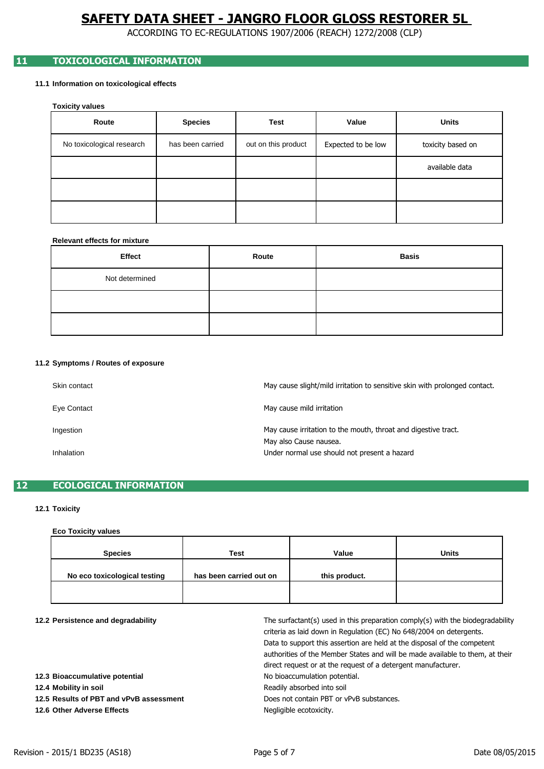ACCORDING TO EC-REGULATIONS 1907/2006 (REACH) 1272/2008 (CLP)

### **11 TOXICOLOGICAL INFORMATION**

### **11.1 Information on toxicological effects**

**Toxicity values**

| Route                     | <b>Species</b>   | Test                | Value              | <b>Units</b>      |
|---------------------------|------------------|---------------------|--------------------|-------------------|
| No toxicological research | has been carried | out on this product | Expected to be low | toxicity based on |
|                           |                  |                     |                    | available data    |
|                           |                  |                     |                    |                   |
|                           |                  |                     |                    |                   |

### **Relevant effects for mixture**

| Effect         | Route | <b>Basis</b> |
|----------------|-------|--------------|
| Not determined |       |              |
|                |       |              |
|                |       |              |

#### **11.2 Symptoms / Routes of exposure**

| Skin contact | May cause slight/mild irritation to sensitive skin with prolonged contact.               |
|--------------|------------------------------------------------------------------------------------------|
| Eye Contact  | May cause mild irritation                                                                |
| Ingestion    | May cause irritation to the mouth, throat and digestive tract.<br>May also Cause nausea. |
| Inhalation   | Under normal use should not present a hazard                                             |

### **12 ECOLOGICAL INFORMATION**

### **12.1 Toxicity**

### **Eco Toxicity values**

| <b>Species</b>               | <b>Test</b>             | Value         | <b>Units</b> |
|------------------------------|-------------------------|---------------|--------------|
| No eco toxicological testing | has been carried out on | this product. |              |
|                              |                         |               |              |

| 12.2 Persistence and degradability      | The surfactant(s) used in this preparation comply(s) with the biodegradability<br>criteria as laid down in Regulation (EC) No 648/2004 on detergents.<br>Data to support this assertion are held at the disposal of the competent<br>authorities of the Member States and will be made available to them, at their<br>direct request or at the request of a detergent manufacturer. |
|-----------------------------------------|-------------------------------------------------------------------------------------------------------------------------------------------------------------------------------------------------------------------------------------------------------------------------------------------------------------------------------------------------------------------------------------|
| 12.3 Bioaccumulative potential          | No bioaccumulation potential.                                                                                                                                                                                                                                                                                                                                                       |
| 12.4 Mobility in soil                   | Readily absorbed into soil                                                                                                                                                                                                                                                                                                                                                          |
| 12.5 Results of PBT and vPvB assessment | Does not contain PBT or vPvB substances.                                                                                                                                                                                                                                                                                                                                            |
| 12.6 Other Adverse Effects              | Negligible ecotoxicity.                                                                                                                                                                                                                                                                                                                                                             |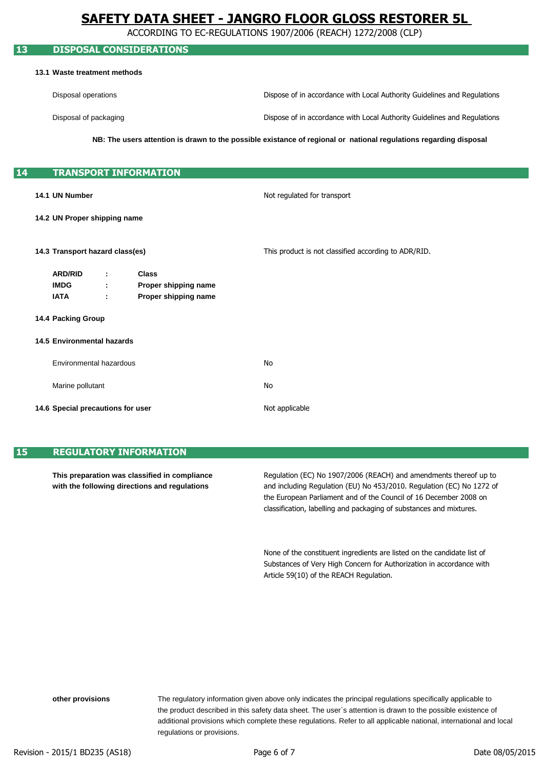ACCORDING TO EC-REGULATIONS 1907/2006 (REACH) 1272/2008 (CLP)

# **13 DISPOSAL CONSIDERATIONS 13.1 Waste treatment methods** Disposal operations Disposal of packaging **14 TRANSPORT INFORMATION 14.1 UN Number 14.2 UN Proper shipping name 14.3 Transport hazard class(es) ARD/RID : Class IMDG : Proper shipping name IATA : Proper shipping name 14.4 Packing Group 14.5 Environmental hazards** Environmental hazardous Marine pollutant **14.6 Special precautions for user** Not applicable This product is not classified according to ADR/RID. Not regulated for transport No No **NB: The users attention is drawn to the possible existance of regional or national regulations regarding disposal** Dispose of in accordance with Local Authority Guidelines and Regulations Dispose of in accordance with Local Authority Guidelines and Regulations

### **15 REGULATORY INFORMATION**

**This preparation was classified in compliance with the following directions and regulations**

and including Regulation (EU) No 453/2010. Regulation (EC) No 1272 of classification, labelling and packaging of substances and mixtures. Regulation (EC) No 1907/2006 (REACH) and amendments thereof up to the European Parliament and of the Council of 16 December 2008 on

Substances of Very High Concern for Authorization in accordance with None of the constituent ingredients are listed on the candidate list of Article 59(10) of the REACH Regulation.

regulations or provisions. The regulatory information given above only indicates the principal regulations specifically applicable to additional provisions which complete these regulations. Refer to all applicable national, international and local the product described in this safety data sheet. The user`s attention is drawn to the possible existence of